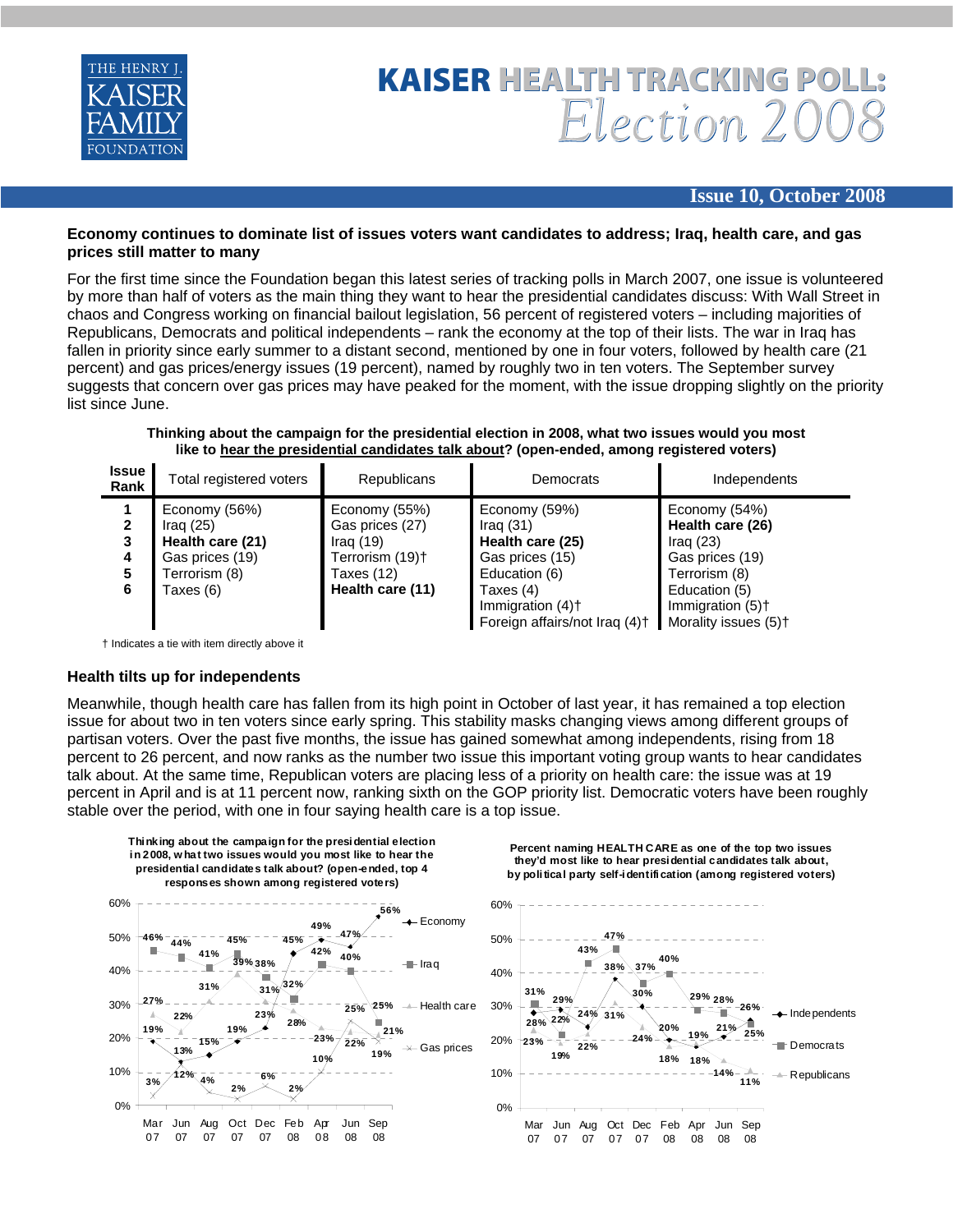

# KAISER HEALTH TRACKING PO

# **Issue 10, October 2008**

## **Economy continues to dominate list of issues voters want candidates to address; Iraq, health care, and gas prices still matter to many**

For the first time since the Foundation began this latest series of tracking polls in March 2007, one issue is volunteered by more than half of voters as the main thing they want to hear the presidential candidates discuss: With Wall Street in chaos and Congress working on financial bailout legislation, 56 percent of registered voters – including majorities of Republicans, Democrats and political independents – rank the economy at the top of their lists. The war in Iraq has fallen in priority since early summer to a distant second, mentioned by one in four voters, followed by health care (21 percent) and gas prices/energy issues (19 percent), named by roughly two in ten voters. The September survey suggests that concern over gas prices may have peaked for the moment, with the issue dropping slightly on the priority list since June.

**Thinking about the campaign for the presidential election in 2008, what two issues would you most like to hear the presidential candidates talk about? (open-ended, among registered voters)** 

| <b>Issue</b><br>Rank  | Total registered voters                                                                           | <b>Republicans</b>                                                                                               | Democrats                                                                                                                                                          | Independents                                                                                                                                                                |
|-----------------------|---------------------------------------------------------------------------------------------------|------------------------------------------------------------------------------------------------------------------|--------------------------------------------------------------------------------------------------------------------------------------------------------------------|-----------------------------------------------------------------------------------------------------------------------------------------------------------------------------|
| 2<br>3<br>4<br>5<br>6 | Economy (56%)<br>Iraq $(25)$<br>Health care (21)<br>Gas prices (19)<br>Terrorism (8)<br>Гахеѕ (6) | Economy (55%)<br>Gas prices (27)<br>Iraq $(19)$<br>Terrorism (19) <sup>+</sup><br>Taxes (12)<br>Health care (11) | Economy (59%)<br>Iraq $(31)$<br>Health care (25)<br>Gas prices (15)<br>Education (6)<br>Taxes (4)<br>Immigration (4) <sup>+</sup><br>Foreign affairs/not Irag (4)+ | Economy (54%)<br>Health care (26)<br>Iraq $(23)$<br>Gas prices (19)<br>Terrorism (8)<br>Education (5)<br>Immigration $(5)$ <sup>+</sup><br>Morality issues (5) <sup>+</sup> |

† Indicates a tie with item directly above it

### **Health tilts up for independents**

Meanwhile, though health care has fallen from its high point in October of last year, it has remained a top election issue for about two in ten voters since early spring. This stability masks changing views among different groups of partisan voters. Over the past five months, the issue has gained somewhat among independents, rising from 18 percent to 26 percent, and now ranks as the number two issue this important voting group wants to hear candidates talk about. At the same time, Republican voters are placing less of a priority on health care: the issue was at 19 percent in April and is at 11 percent now, ranking sixth on the GOP priority list. Democratic voters have been roughly stable over the period, with one in four saying health care is a top issue.



**Percent naming HEALTH CARE as one of the top two issues they'd most like to hear presidential candidates talk about, by political party self-identification (among registered voters)**

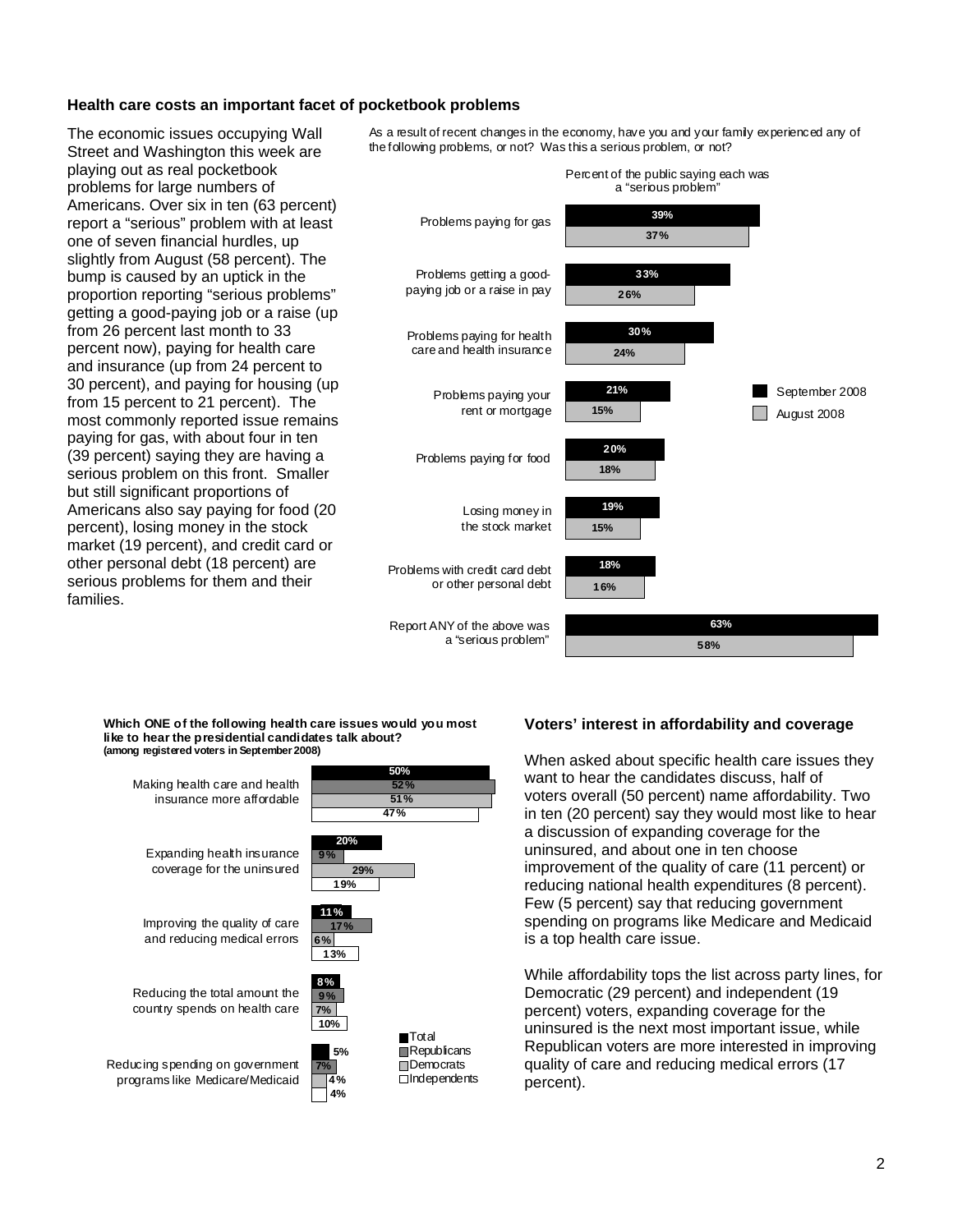### **Health care costs an important facet of pocketbook problems**

The economic issues occupying Wall Street and Washington this week are playing out as real pocketbook problems for large numbers of Americans. Over six in ten (63 percent) report a "serious" problem with at least one of seven financial hurdles, up slightly from August (58 percent). The bump is caused by an uptick in the proportion reporting "serious problems" getting a good-paying job or a raise (up from 26 percent last month to 33 percent now), paying for health care and insurance (up from 24 percent to 30 percent), and paying for housing (up from 15 percent to 21 percent). The most commonly reported issue remains paying for gas, with about four in ten (39 percent) saying they are having a serious problem on this front. Smaller but still significant proportions of Americans also say paying for food (20 percent), losing money in the stock market (19 percent), and credit card or other personal debt (18 percent) are serious problems for them and their families.

As a result of recent changes in the economy, have you and your family experienced any of the following problems, or not? Was this a serious problem, or not?



#### **Which ONE of the following health care issues would you most like to hear the presidential candidates talk about? (among registered voters in September 2008)**



### **Voters' interest in affordability and coverage**

When asked about specific health care issues they want to hear the candidates discuss, half of voters overall (50 percent) name affordability. Two in ten (20 percent) say they would most like to hear a discussion of expanding coverage for the uninsured, and about one in ten choose improvement of the quality of care (11 percent) or reducing national health expenditures (8 percent). Few (5 percent) say that reducing government spending on programs like Medicare and Medicaid is a top health care issue.

While affordability tops the list across party lines, for Democratic (29 percent) and independent (19 percent) voters, expanding coverage for the uninsured is the next most important issue, while Republican voters are more interested in improving quality of care and reducing medical errors (17 percent).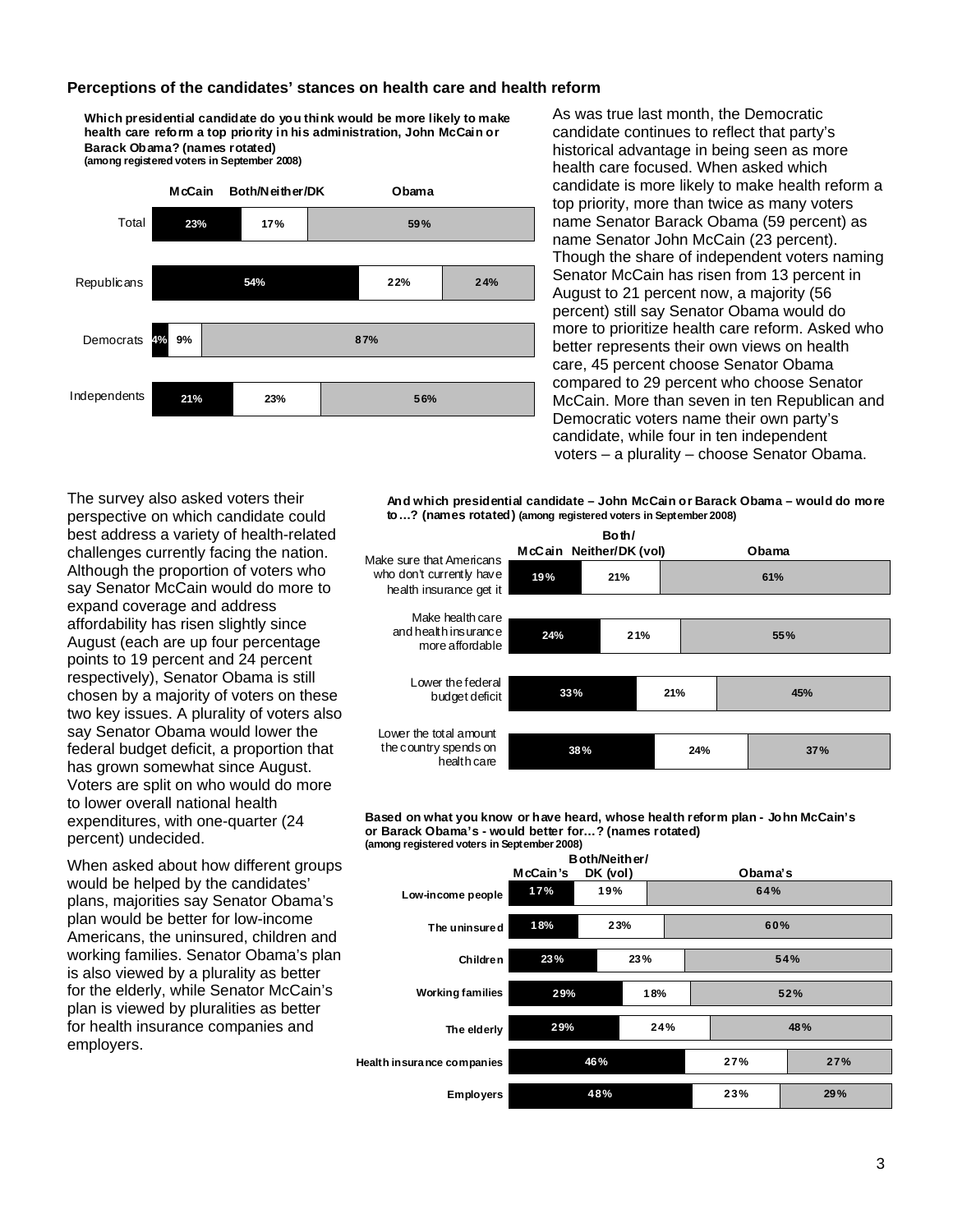## **Perceptions of the candidates' stances on health care and health reform**

**Which presidential candidate do you think would be more likely to make health care reform a top priority in his administration, John McCain or Barack Obama? (names rotated) (among registered voters in September 2008)**



As was true last month, the Democratic candidate continues to reflect that party's historical advantage in being seen as more health care focused. When asked which candidate is more likely to make health reform a top priority, more than twice as many voters name Senator Barack Obama (59 percent) as name Senator John McCain (23 percent). Though the share of independent voters naming Senator McCain has risen from 13 percent in August to 21 percent now, a majority (56 percent) still say Senator Obama would do more to prioritize health care reform. Asked who better represents their own views on health care, 45 percent choose Senator Obama compared to 29 percent who choose Senator McCain. More than seven in ten Republican and Democratic voters name their own party's candidate, while four in ten independent voters – a plurality – choose Senator Obama.

**And which presidential candidate – John McCain or Barack Obama – would do more to…? (names rotated) (among registered voters in September 2008)**



**Based on what you know or have heard, whose health reform plan - John McCain's or Barack Obama's - would better for…? (names rotated) (among registered voters in September 2008)**



The survey also asked voters their perspective on which candidate could best address a variety of health-related challenges currently facing the nation. Although the proportion of voters who say Senator McCain would do more to expand coverage and address affordability has risen slightly since August (each are up four percentage points to 19 percent and 24 percent respectively), Senator Obama is still chosen by a majority of voters on these two key issues. A plurality of voters also say Senator Obama would lower the federal budget deficit, a proportion that has grown somewhat since August. Voters are split on who would do more to lower overall national health expenditures, with one-quarter (24 percent) undecided.

When asked about how different groups would be helped by the candidates' plans, majorities say Senator Obama's plan would be better for low-income Americans, the uninsured, children and working families. Senator Obama's plan is also viewed by a plurality as better for the elderly, while Senator McCain's plan is viewed by pluralities as better for health insurance companies and employers.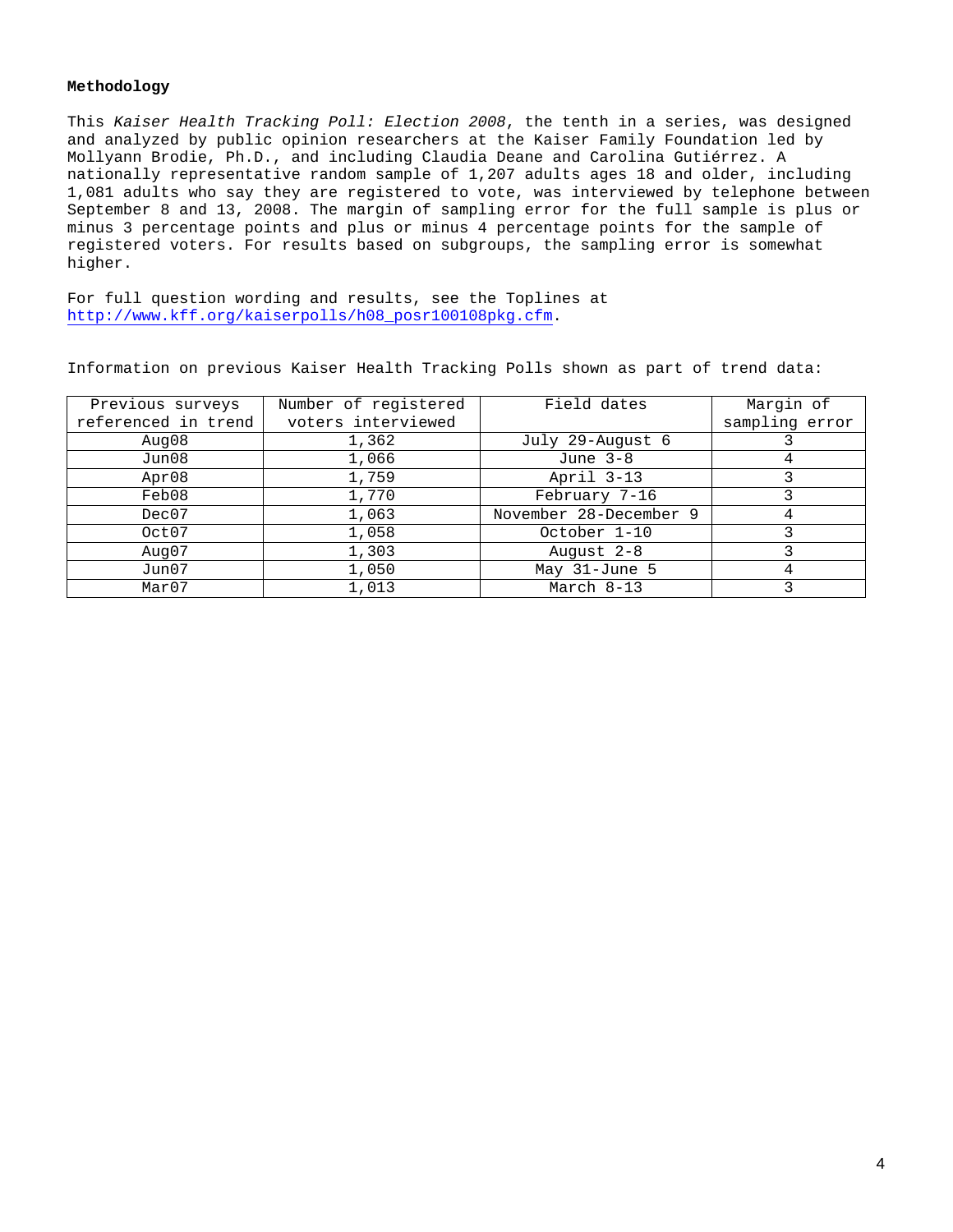#### **Methodology**

This *Kaiser Health Tracking Poll: Election 2008*, the tenth in a series, was designed and analyzed by public opinion researchers at the Kaiser Family Foundation led by Mollyann Brodie, Ph.D., and including Claudia Deane and Carolina Gutiérrez. A nationally representative random sample of 1,207 adults ages 18 and older, including 1,081 adults who say they are registered to vote, was interviewed by telephone between September 8 and 13, 2008. The margin of sampling error for the full sample is plus or minus 3 percentage points and plus or minus 4 percentage points for the sample of registered voters. For results based on subgroups, the sampling error is somewhat higher.

For full question wording and results, see the Toplines at http://www.kff.org/kaiserpolls/h08\_posr100108pkg.cfm.

| Previous surveys    | Number of registered | Field dates            | Margin of      |
|---------------------|----------------------|------------------------|----------------|
| referenced in trend | voters interviewed   |                        | sampling error |
| Auq08               | 1,362                | July 29-August 6       |                |
| Jun08               | 1,066                | June $3-8$             |                |
| Apr08               | 1,759                | April 3-13             |                |
| Feb08               | 1,770                | February 7-16          |                |
| Dec07               | 1,063                | November 28-December 9 |                |
| Oct07               | 1,058                | October 1-10           |                |
| Auq07               | 1,303                | August 2-8             |                |
| Jun07               | 1,050                | May 31-June 5          |                |
| Mar07               | 1,013                | March 8-13             |                |

Information on previous Kaiser Health Tracking Polls shown as part of trend data: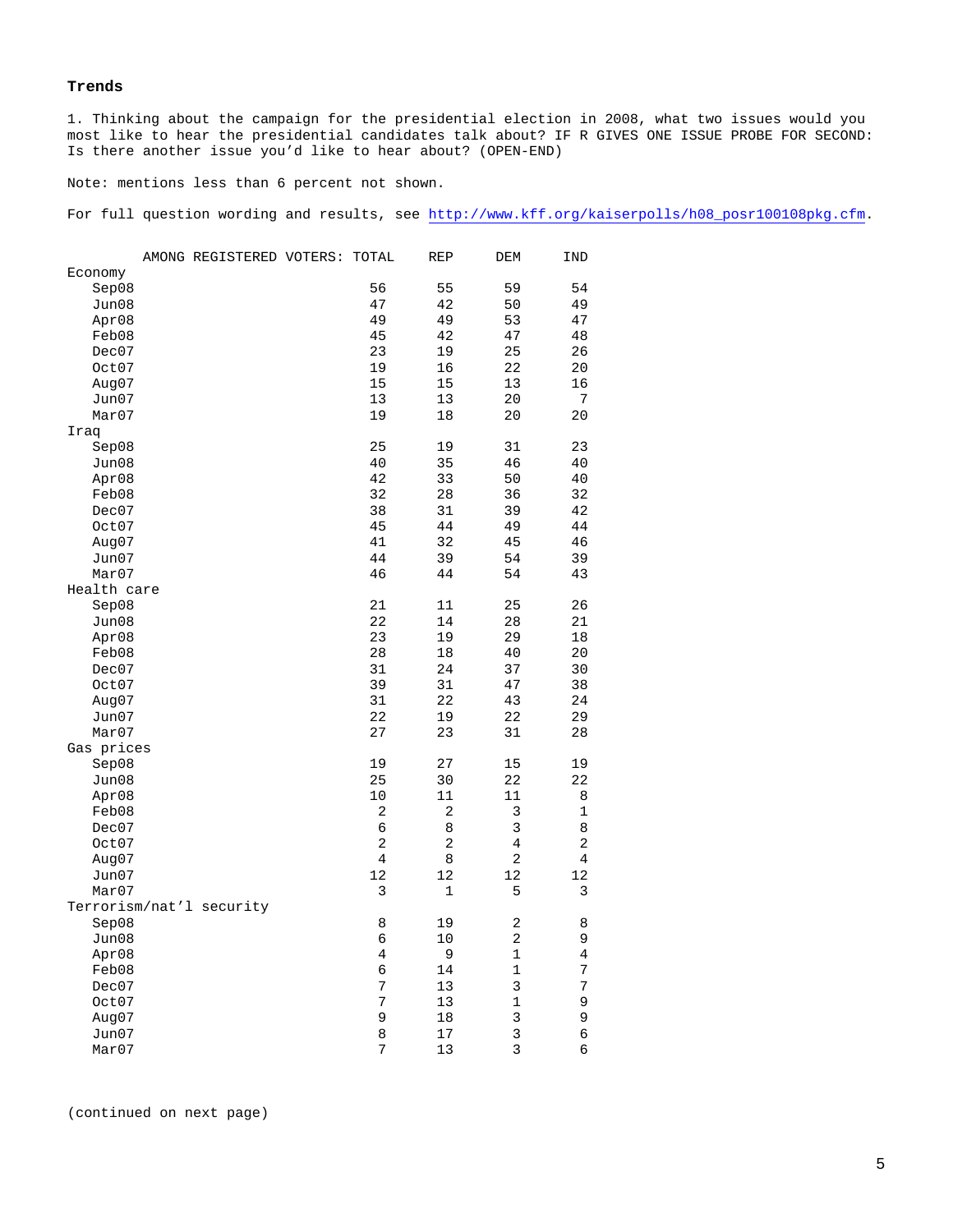### **Trends**

1. Thinking about the campaign for the presidential election in 2008, what two issues would you most like to hear the presidential candidates talk about? IF R GIVES ONE ISSUE PROBE FOR SECOND: Is there another issue you'd like to hear about? (OPEN-END)

Note: mentions less than 6 percent not shown.

For full question wording and results, see http://www.kff.org/kaiserpolls/h08\_posr100108pkg.cfm.

|             | AMONG REGISTERED VOTERS: TOTAL |                | <b>REP</b> | <b>DEM</b>     | <b>IND</b>     |
|-------------|--------------------------------|----------------|------------|----------------|----------------|
| Economy     |                                |                |            |                |                |
| Sep08       |                                | 56             | 55         | 59             | 54             |
| Jun08       |                                | 47             | 42         | 50             | 49             |
| Apr08       |                                | 49             | 49         | 53             | 47             |
| Feb08       |                                | 45             | 42         | 47             | 48             |
| Dec07       |                                | 23             | 19         | 25             | 26             |
| Oct07       |                                | 19             | 16         | 22             | 20             |
| Aug07       |                                | 15             | 15         | 13             | 16             |
| Jun07       |                                | 13             | 13         | 20             | 7              |
| Mar07       |                                | 19             | 18         | 20             | 20             |
| Iraq        |                                |                |            |                |                |
| Sep08       |                                | 25             | 19         | 31             | 23             |
| Jun08       |                                | 40             | 35         | 46             | 40             |
| Apr08       |                                | 42             | 33         | 50             | 40             |
| Feb08       |                                | 32             | 28         | 36             | 32             |
| Dec07       |                                | 38             | 31         | 39             | 42             |
| Oct07       |                                | 45             | 44         | 49             | 44             |
| Aug07       |                                | 41             | 32         | 45             | 46             |
| Jun07       |                                | 44             | 39         | 54             | 39             |
| Mar07       |                                | 46             | 44         | 54             | 43             |
| Health care |                                |                |            |                |                |
| Sep08       |                                | 21             | 11         | 25             | 26             |
| Jun08       |                                | 22             | 14         | 28             | 21             |
| Apr08       |                                | 23             | 19         | 29             | 18             |
| Feb08       |                                | 28             | 18         | 40             | 20             |
| Dec07       |                                | 31             | 24         | 37             | 30             |
| Oct07       |                                | 39             | 31         | 47             | 38             |
| Aug07       |                                | 31             | 22         | 43             | 24             |
| Jun07       |                                | 22             | 19         | 22             | 29             |
| Mar07       |                                | 27             | 23         | 31             | 28             |
| Gas prices  |                                |                |            |                |                |
| Sep08       |                                | 19             | 27         | 15             | 19             |
| Jun08       |                                | 25             | 30         | 22             | 22             |
| Apr08       |                                | 10             | 11         | 11             | 8              |
| Feb08       |                                | 2              | 2          | 3              | $\mathbf 1$    |
| Dec07       |                                | 6              | 8          | 3              | 8              |
| Oct07       |                                | $\overline{2}$ | 2          | $\overline{4}$ | 2              |
| Aug $07$    |                                | $\overline{4}$ | 8          | 2              | $\overline{4}$ |
| Jun07       |                                | 12             | 12         | 12             | 12             |
| Mar07       |                                | 3              | 1          | 5              | 3              |
|             | Terrorism/nat'l security       |                |            |                |                |
| Sep08       |                                | 8              | 19         | 2              | 8              |
| Jun08       |                                | 6              | 10         | 2              | 9              |
| Apr08       |                                | $\overline{4}$ | 9          | 1              | $\overline{4}$ |
| Feb08       |                                | 6              | 14         | 1              | 7              |
| Dec07       |                                | 7              | 13         | 3              | 7              |
| Oct07       |                                | 7              | 13         | $\mathbf 1$    | 9              |
| Aug07       |                                | 9              | 18         | $\overline{3}$ | 9              |
| Jun07       |                                | 8              | 17         | $\overline{3}$ | б              |
| Mar07       |                                | 7              | 13         | $\overline{3}$ | 6              |

(continued on next page)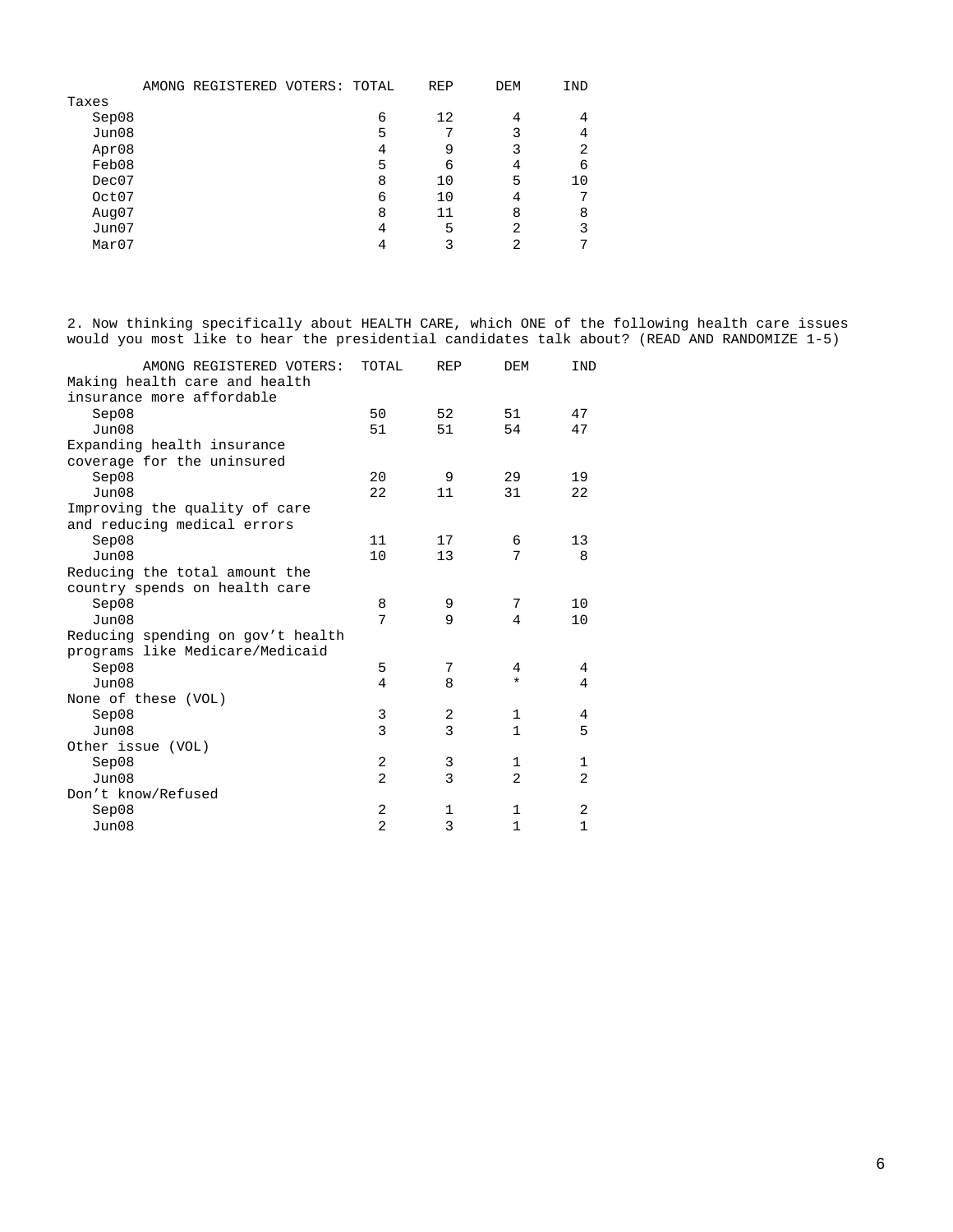|       | AMONG REGISTERED VOTERS: TOTAL |   | <b>REP</b> | DEM | IND |
|-------|--------------------------------|---|------------|-----|-----|
| Taxes |                                |   |            |     |     |
| Sep08 |                                | 6 | 12         |     |     |
| Jun08 |                                | 5 | 7          |     |     |
| Apr08 |                                | 4 | 9          | 3   | ⌒   |
| Feb08 |                                | 5 | 6          |     | 6   |
| Dec07 |                                | 8 | 10         | 5   | 10  |
| Oct07 |                                | 6 | 10         |     |     |
| Aug07 |                                | 8 | 11         | 8   | 8   |
| Jun07 |                                | 4 | 5          | 2   |     |
| Mar07 |                                |   |            | ◠   |     |

2. Now thinking specifically about HEALTH CARE, which ONE of the following health care issues would you most like to hear the presidential candidates talk about? (READ AND RANDOMIZE 1-5)

| AMONG REGISTERED VOTERS:          | TOTAL          | <b>REP</b>   | DEM            | <b>IND</b>     |
|-----------------------------------|----------------|--------------|----------------|----------------|
| Making health care and health     |                |              |                |                |
| insurance more affordable         |                |              |                |                |
| Sep08                             | 50             | 52           | 51             | 47             |
| Jun08                             | 51             | 51           | 54             | 47             |
| Expanding health insurance        |                |              |                |                |
| coverage for the uninsured        |                |              |                |                |
| Sep08                             | 20             | 9            | 29             | 19             |
| Jun08                             | 22             | 11           | 31             | 22             |
| Improving the quality of care     |                |              |                |                |
| and reducing medical errors       |                |              |                |                |
| Sep08                             | 11             | 17           | 6              | 13             |
| Jun08                             | 10             | 13           | 7              | 8              |
| Reducing the total amount the     |                |              |                |                |
| country spends on health care     |                |              |                |                |
| Sep08                             | 8              | 9            | 7              | 10             |
| Jun08                             | 7              | 9            | 4              | 10             |
| Reducing spending on gov't health |                |              |                |                |
| programs like Medicare/Medicaid   |                |              |                |                |
| Sep08                             | 5              | 7            | 4              | 4              |
| $J$ un $08$                       | 4              | 8            | $\ast$         | 4              |
| None of these (VOL)               |                |              |                |                |
| Sep08                             | 3              | 2            | $\mathbf{1}$   | 4              |
| Jun08                             | 3              | 3            | $\mathbf{1}$   | 5              |
| Other issue (VOL)                 |                |              |                |                |
| Sep08                             | 2              | 3            | 1              | 1              |
| $J$ un $08$                       | $\overline{2}$ | $\mathbf{3}$ | $\mathfrak{D}$ | $\overline{a}$ |
| Don't know/Refused                |                |              |                |                |
| Sep08                             | 2              | 1            | 1              | 2              |
| Jun08                             | $\overline{2}$ | 3            | $\mathbf{1}$   | $\mathbf{1}$   |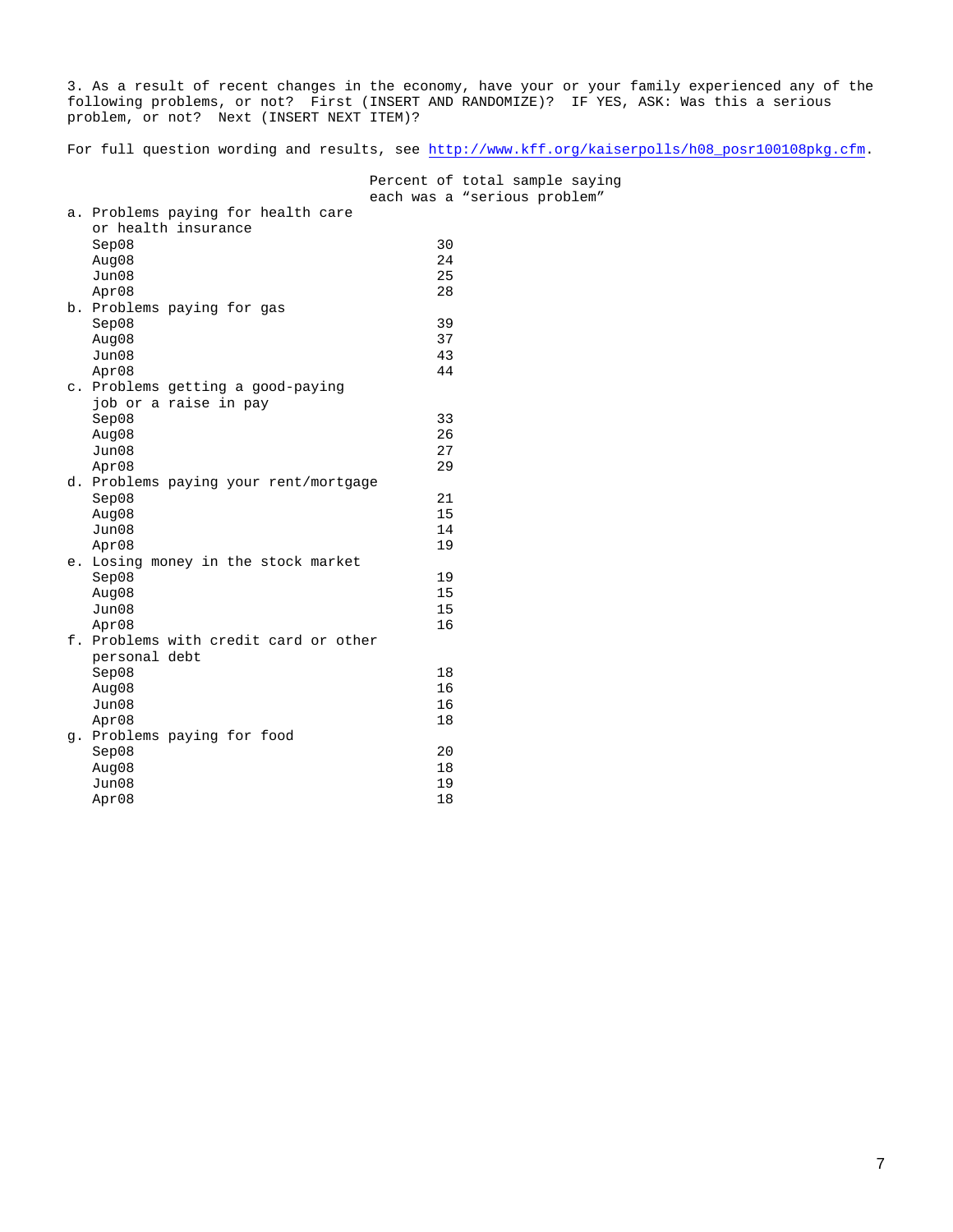3. As a result of recent changes in the economy, have your or your family experienced any of the following problems, or not? First (INSERT AND RANDOMIZE)? IF YES, ASK: Was this a serious problem, or not? Next (INSERT NEXT ITEM)?

For full question wording and results, see http://www.kff.org/kaiserpolls/h08\_posr100108pkg.cfm.

 Percent of total sample saying each was a "serious problem"

| а. | Problems paying for health care       |    |
|----|---------------------------------------|----|
|    | or health insurance                   |    |
|    | Sep08                                 | 30 |
|    | Aug08                                 | 24 |
|    | Jun08                                 | 25 |
|    | Apr08                                 | 28 |
|    | b. Problems paying for gas            |    |
|    | Sep08                                 | 39 |
|    | Aug08                                 | 37 |
|    | Jun08                                 | 43 |
|    | Apr08                                 | 44 |
|    | c. Problems getting a good-paying     |    |
|    | job or a raise in pay                 |    |
|    | Sep08                                 | 33 |
|    | Aug08                                 | 26 |
|    | Jun08                                 | 27 |
|    | Apr08                                 | 29 |
|    | d. Problems paying your rent/mortgage |    |
|    | Sep08                                 | 21 |
|    | Auq08                                 | 15 |
|    | Jun08                                 | 14 |
|    | Apr08                                 | 19 |
|    | e. Losing money in the stock market   |    |
|    | Sep08                                 | 19 |
|    | Auq08                                 | 15 |
|    | Jun08                                 | 15 |
|    | Apr08                                 | 16 |
|    | f. Problems with credit card or other |    |
|    | personal debt                         |    |
|    | Sep08                                 | 18 |
|    | Aug08                                 | 16 |
|    | Jun08                                 | 16 |
|    | Apr08                                 | 18 |
|    | g. Problems paying for food           |    |
|    | Sep08                                 | 20 |
|    | Aug08                                 | 18 |
|    | Jun08                                 | 19 |
|    | Apr08                                 | 18 |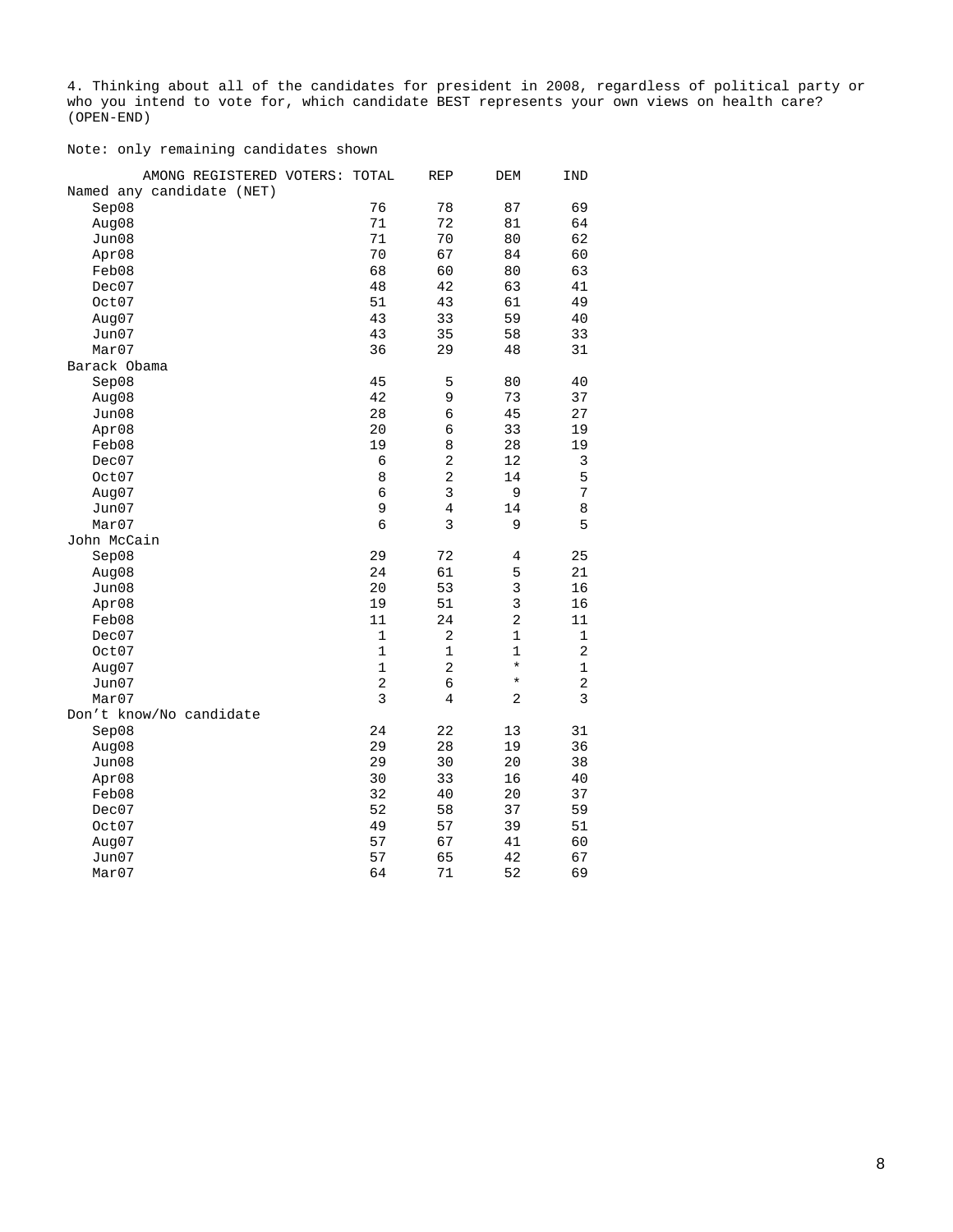4. Thinking about all of the candidates for president in 2008, regardless of political party or who you intend to vote for, which candidate BEST represents your own views on health care? (OPEN-END)

Note: only remaining candidates shown

| AMONG REGISTERED VOTERS:  | TOTAL          | <b>REP</b>     | DEM            | IND            |
|---------------------------|----------------|----------------|----------------|----------------|
| Named any candidate (NET) |                |                |                |                |
| Sep08                     | 76             | 78             | 87             | 69             |
| Aug08                     | 71             | 72             | 81             | 64             |
| Jun08                     | 71             | 70             | 80             | 62             |
| Apr08                     | 70             | 67             | 84             | 60             |
| Feb08                     | 68             | 60             | 80             | 63             |
| Dec07                     | 48             | 42             | 63             | 41             |
| Oct07                     | 51             | 43             | 61             | 49             |
| Aug07                     | 43             | 33             | 59             | 40             |
| Jun07                     | 43             | 35             | 58             | 33             |
| Mar07                     | 36             | 29             | 48             | 31             |
| Barack Obama              |                |                |                |                |
| Sep08                     | 45             | 5              | 80             | 40             |
| Aug08                     | 42             | 9              | 73             | 37             |
| Jun08                     | 28             | 6              | 45             | 27             |
| Apr08                     | 20             | 6              | 33             | 19             |
| Feb08                     | 19             | 8              | 28             | 19             |
| Dec07                     | б              | $\overline{c}$ | 12             | 3              |
| Oct07                     | 8              | $\overline{c}$ | 14             | 5              |
| Auq07                     | 6              | 3              | 9              | 7              |
| Jun07                     | 9              | 4              | 14             | 8              |
| Mar07                     | 6              | 3              | 9              | 5              |
| John McCain               |                |                |                |                |
| Sep08                     | 29             | 72             | 4              | 25             |
| Aug08                     | 24             | 61             | 5              | 21             |
| Jun08                     | 20             | 53             | 3              | 16             |
| Apr08                     | 19             | 51             | $\overline{3}$ | 16             |
| Feb08                     | 11             | 24             | $\overline{a}$ | 11             |
| Dec07                     | $\mathbf 1$    | 2              | $\mathbf{1}$   | 1              |
| Oct07                     | $\mathbf{1}$   | $\mathbf 1$    | $\mathbf 1$    | $\overline{c}$ |
| Aug07                     | $\mathbf{1}$   | $\overline{a}$ | $\star$        | 1              |
| Jun07                     | $\overline{2}$ | 6              | $\star$        | 2              |
| Mar07                     | 3              | 4              | 2              | 3              |
| Don't know/No candidate   |                |                |                |                |
| Sep08                     | 24             | 22             | 13             | 31             |
| Aug08                     | 29             | 28             | 19             | 36             |
| Jun08                     | 29             | 30             | 20             | 38             |
| Apr08                     | 30             | 33             | 16             | 40             |
| Feb08                     | 32             | 40             | 20             | 37             |
| Dec07                     | 52             | 58             | 37             | 59             |
| Oct07                     | 49             | 57             | 39             | 51             |
| Aug07                     | 57             | 67             | 41             | 60             |
| Jun07                     | 57             | 65             | 42             | 67             |
| Mar07                     | 64             | 71             | 52             | 69             |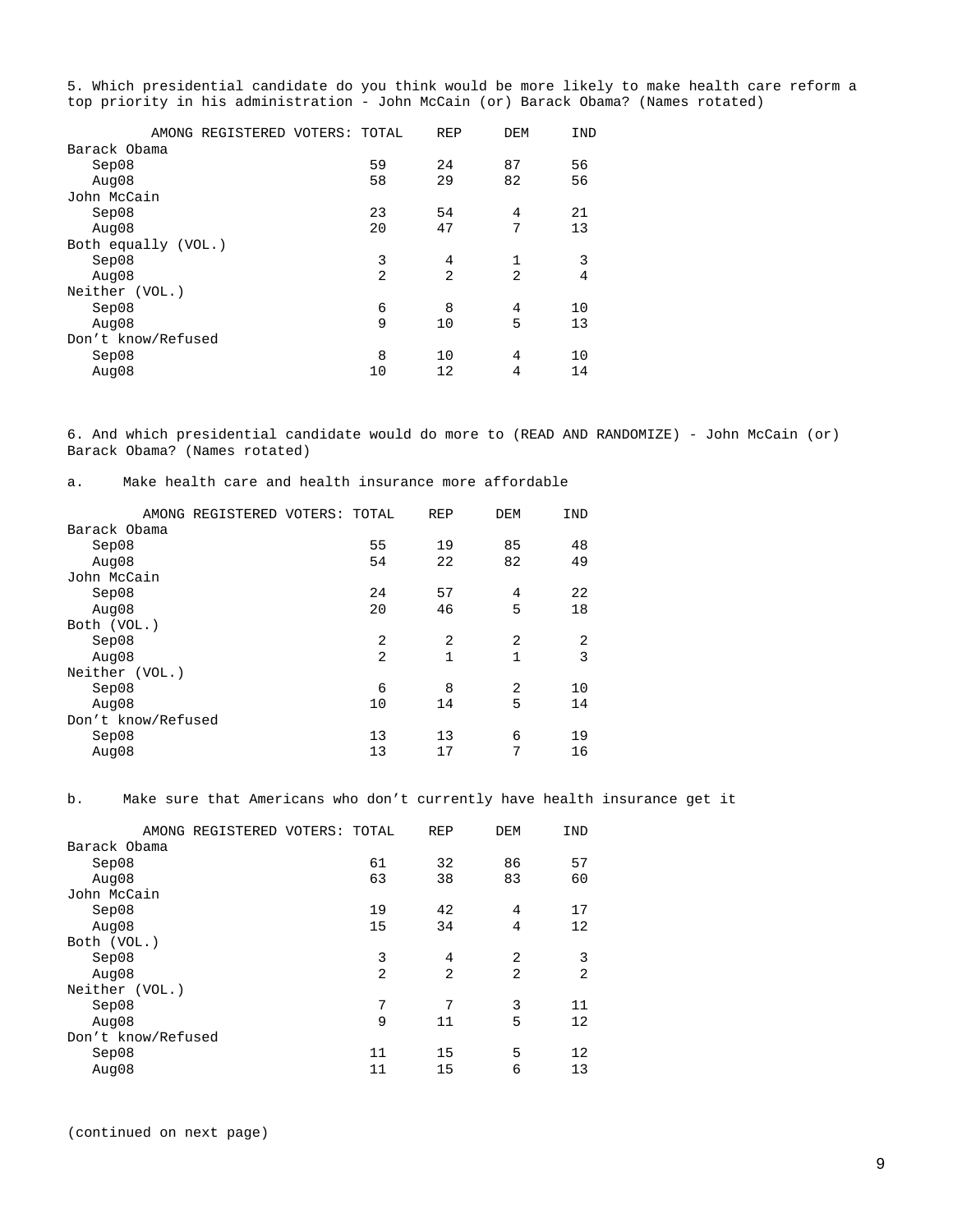5. Which presidential candidate do you think would be more likely to make health care reform a top priority in his administration - John McCain (or) Barack Obama? (Names rotated)

|                     | AMONG REGISTERED VOTERS: TOTAL |                | <b>REP</b>     | <b>DEM</b> | <b>IND</b> |
|---------------------|--------------------------------|----------------|----------------|------------|------------|
| Barack Obama        |                                |                |                |            |            |
| Sep08               |                                | 59             | 24             | 87         | 56         |
| Auq08               |                                | 58             | 29             | 82         | 56         |
| John McCain         |                                |                |                |            |            |
| Sep08               |                                | 23             | 54             | 4          | 21         |
| Auq08               |                                | 20             | 47             | 7          | 13         |
| Both equally (VOL.) |                                |                |                |            |            |
| Sep08               |                                | 3              | 4              | 1          | 3          |
| Auq08               |                                | $\overline{2}$ | $\mathfrak{D}$ | 2          | 4          |
| Neither (VOL.)      |                                |                |                |            |            |
| Sep08               |                                | 6              | 8              | 4          | 10         |
| Auq08               |                                | 9              | 10             | 5          | 13         |
| Don't know/Refused  |                                |                |                |            |            |
| Sep08               |                                | 8              | 10             | 4          | 10         |
| Aug $08$            |                                | 10             | 12             | 4          | 14         |
|                     |                                |                |                |            |            |

6. And which presidential candidate would do more to (READ AND RANDOMIZE) - John McCain (or) Barack Obama? (Names rotated)

a. Make health care and health insurance more affordable

|                    | AMONG REGISTERED VOTERS: | TOTAL          | REP          | <b>DEM</b>   | IND            |
|--------------------|--------------------------|----------------|--------------|--------------|----------------|
| Barack Obama       |                          |                |              |              |                |
| Sep08              |                          | 55             | 19           | 85           | 48             |
| Aug $08$           |                          | 54             | 22           | 82           | 49             |
| John McCain        |                          |                |              |              |                |
| Sep08              |                          | 24             | 57           | 4            | 22             |
| Aug08              |                          | 20             | 46           | 5            | 18             |
| Both (VOL.)        |                          |                |              |              |                |
| Sep08              |                          | 2              | 2            | 2            | $\overline{2}$ |
| Aug08              |                          | $\overline{c}$ | $\mathbf{1}$ | $\mathbf{1}$ | 3              |
| Neither (VOL.)     |                          |                |              |              |                |
| Sep08              |                          | 6              | 8            | 2            | 10             |
| Auq08              |                          | 10             | 14           | 5            | 14             |
| Don't know/Refused |                          |                |              |              |                |
| Sep08              |                          | 13             | 13           | 6            | 19             |
| Aug $08$           |                          | 13             | 17           | 7            | 16             |
|                    |                          |                |              |              |                |

b. Make sure that Americans who don't currently have health insurance get it

| AMONG REGISTERED VOTERS: TOTAL |                | <b>REP</b>     | <b>DEM</b>     | IND            |
|--------------------------------|----------------|----------------|----------------|----------------|
| Barack Obama                   |                |                |                |                |
| Sep08                          | 61             | 32             | 86             | 57             |
| Aug $08$                       | 63             | 38             | 83             | 60             |
| John McCain                    |                |                |                |                |
| Sep08                          | 19             | 42             | 4              | 17             |
| Auq08                          | 15             | 34             | 4              | 12             |
| Both (VOL.)                    |                |                |                |                |
| Sep08                          | 3              | 4              | 2              | 3              |
| Auq08                          | $\overline{2}$ | $\mathfrak{D}$ | $\mathfrak{D}$ | $\mathfrak{D}$ |
| Neither (VOL.)                 |                |                |                |                |
| Sep08                          | 7              | 7              | 3              | 11             |
| Auq08                          | 9              | 11             | 5              | 12             |
| Don't know/Refused             |                |                |                |                |
| Sep08                          | 11             | 15             | 5              | 12             |
| Auq08                          | 11             | 15             | 6              | 13             |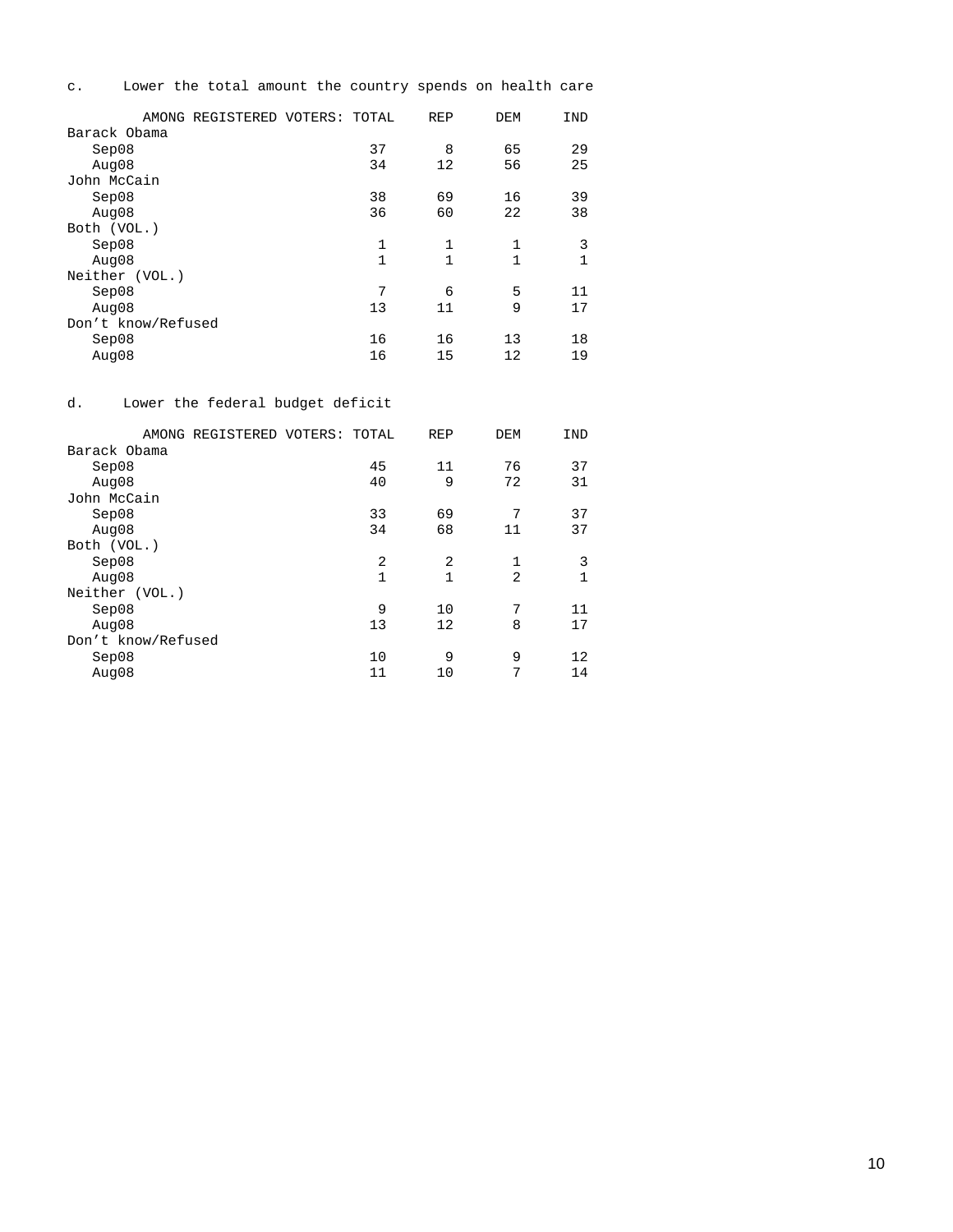c. Lower the total amount the country spends on health care

|                    | AMONG REGISTERED VOTERS: | TOTAL | REP | DEM         | <b>IND</b> |
|--------------------|--------------------------|-------|-----|-------------|------------|
| Barack Obama       |                          |       |     |             |            |
| Sep08              |                          | 37    | 8   | 65          | 29         |
| Auq08              |                          | 34    | 12  | 56          | 25         |
| John McCain        |                          |       |     |             |            |
| Sep08              |                          | 38    | 69  | 16          | 39         |
| Aug $08$           |                          | 36    | 60  | 22          | 38         |
| Both (VOL.)        |                          |       |     |             |            |
| Sep08              |                          | 1     | 1   | $\mathbf 1$ | 3          |
| Auq08              |                          | 1     | 1   | 1           |            |
| Neither (VOL.)     |                          |       |     |             |            |
| Sep08              |                          | 7     | 6   | 5           | 11         |
| Auq08              |                          | 13    | 11  | 9           | 17         |
| Don't know/Refused |                          |       |     |             |            |
| Sep08              |                          | 16    | 16  | 13          | 18         |
| Auq08              |                          | 16    | 15  | 12          | 19         |
|                    |                          |       |     |             |            |

## d. Lower the federal budget deficit

| AMONG REGISTERED VOTERS: | TOTAL | REP | DEM            | IND |
|--------------------------|-------|-----|----------------|-----|
| Barack Obama             |       |     |                |     |
| Sep08                    | 45    | 11  | 76             | 37  |
| Auq08                    | 40    | 9   | 72             | 31  |
| John McCain              |       |     |                |     |
| Sep08                    | 33    | 69  | 7              | 37  |
| Auq08                    | 34    | 68  | 11             | 37  |
| Both (VOL.)              |       |     |                |     |
| Sep08                    | 2     | 2   | $\mathbf{1}$   | 3   |
| Auq08                    | 1     | 1   | $\mathfrak{D}$ |     |
| Neither (VOL.)           |       |     |                |     |
| Sep08                    | 9     | 10  | 7              | 11  |
| Aug08                    | 13    | 12  | 8              | 17  |
| Don't know/Refused       |       |     |                |     |
| Sep08                    | 10    | 9   | 9              | 12  |
| Auq08                    | 11    | 10  | 7              | 14  |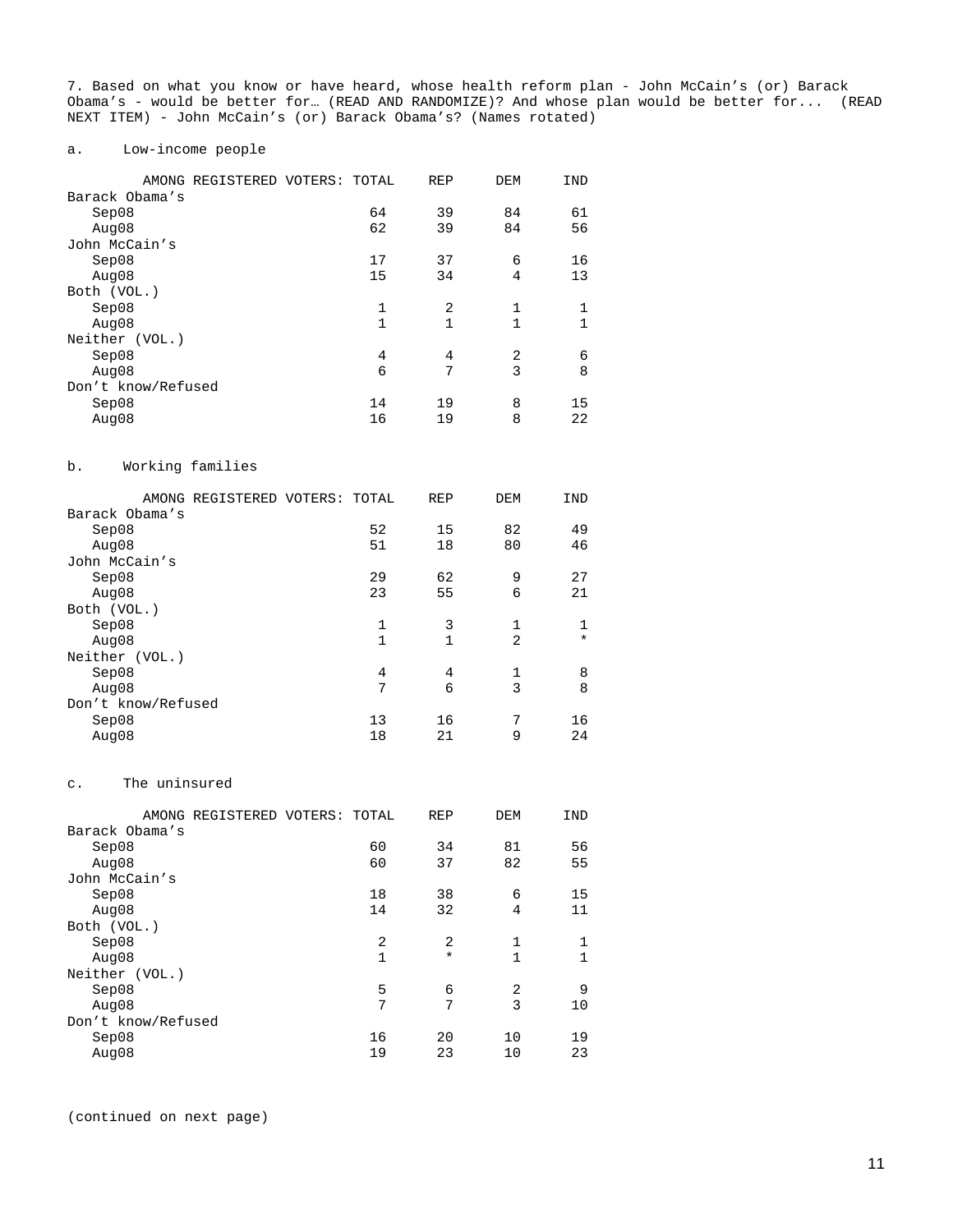7. Based on what you know or have heard, whose health reform plan - John McCain's (or) Barack Obama's - would be better for… (READ AND RANDOMIZE)? And whose plan would be better for... (READ NEXT ITEM) - John McCain's (or) Barack Obama's? (Names rotated)

#### a. Low-income people

| AMONG REGISTERED VOTERS: TOTAL |              | <b>REP</b> | DEM         | IND |
|--------------------------------|--------------|------------|-------------|-----|
| Barack Obama's                 |              |            |             |     |
| Sep08                          | 64           | 39         | 84          | 61  |
| Auq08                          | 62           | 39         | 84          | 56  |
| John McCain's                  |              |            |             |     |
| Sep08                          | 17           | 37         | 6           | 16  |
| Auq08                          | 15           | 34         | 4           | 13  |
| Both (VOL.)                    |              |            |             |     |
| Sep08                          | $\mathbf{1}$ | 2          | $\mathbf 1$ |     |
| Auq08                          | 1            | 1          | 1           |     |
| Neither (VOL.)                 |              |            |             |     |
| Sep08                          | 4            | 4          | 2           | 6   |
| Auq08                          | 6            | 7          | 3           | 8   |
| Don't know/Refused             |              |            |             |     |
| Sep08                          | 14           | 19         | 8           | 15  |
| Aug $08$                       | 16           | 19         | 8           | 22  |
|                                |              |            |             |     |

## b. Working families

|                    | AMONG REGISTERED VOTERS: TOTAL |              | <b>REP</b> | <b>DEM</b> | <b>IND</b> |
|--------------------|--------------------------------|--------------|------------|------------|------------|
| Barack Obama's     |                                |              |            |            |            |
| Sep08              |                                | 52           | 15         | 82         | 49         |
| Auq08              |                                | 51           | 18         | 80         | 46         |
| John McCain's      |                                |              |            |            |            |
| Sep08              |                                | 29           | 62         | 9          | 27         |
| Auq08              |                                | 23           | 55         | 6          | 21         |
| Both (VOL.)        |                                |              |            |            |            |
| Sep08              |                                | $\mathbf{1}$ | 3          | 1          |            |
| Auq08              |                                | 1            | 1          | 2          | $\star$    |
| Neither (VOL.)     |                                |              |            |            |            |
| Sep08              |                                | 4            | 4          | 1          | 8          |
| Auq08              |                                | 7            | 6          | 3          | 8          |
| Don't know/Refused |                                |              |            |            |            |
| Sep08              |                                | 13           | 16         | 7          | 16         |
| Auq08              |                                | 18           | 21         | 9          | 24         |

#### c. The uninsured

|                    | AMONG REGISTERED VOTERS: | TOTAL | REP    | DEM | IND |
|--------------------|--------------------------|-------|--------|-----|-----|
| Barack Obama's     |                          |       |        |     |     |
| Sep08              |                          | 60    | 34     | 81  | 56  |
| Auq08              |                          | 60    | 37     | 82  | 55  |
| John McCain's      |                          |       |        |     |     |
| Sep08              |                          | 18    | 38     | 6   | 15  |
| Auq08              |                          | 14    | 32     | 4   | 11  |
| Both (VOL.)        |                          |       |        |     |     |
| Sep08              |                          | 2     | 2      | 1   |     |
| Auq08              |                          | 1     | $\ast$ | 1   |     |
| Neither (VOL.)     |                          |       |        |     |     |
| Sep08              |                          | 5     | 6      | 2   | 9   |
| Auq08              |                          | 7     | 7      | 3   | 10  |
| Don't know/Refused |                          |       |        |     |     |
| Sep08              |                          | 16    | 20     | 10  | 19  |
| Auq08              |                          | 19    | 23     | 10  | 23  |

(continued on next page)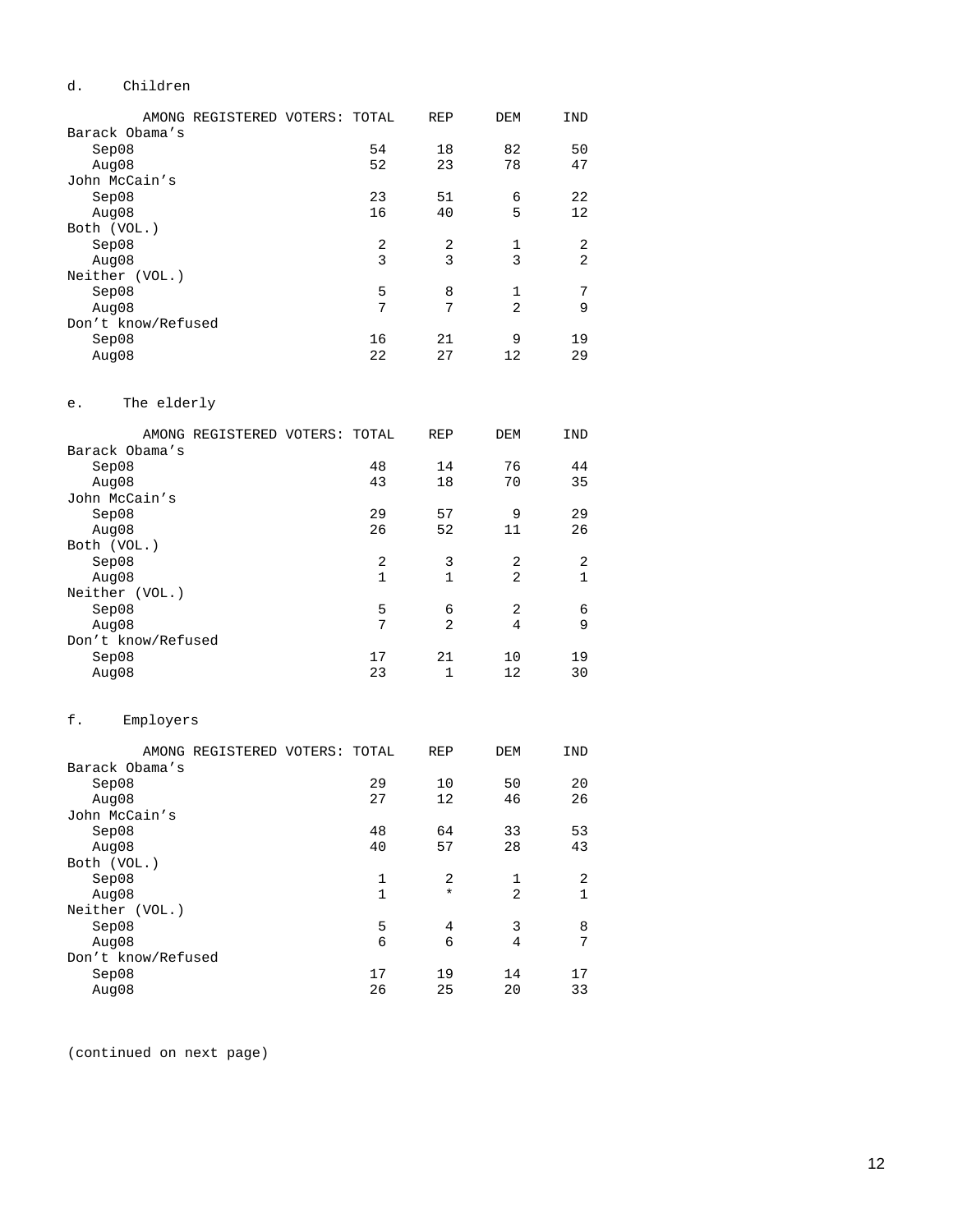## d. Children

| AMONG REGISTERED VOTERS: TOTAL |              | REP      | DEM      | IND      |
|--------------------------------|--------------|----------|----------|----------|
| Barack Obama's                 |              |          |          |          |
| Sep08                          | 54           | 18       | 82       | 50       |
| Auq08                          | 52           | 23       | 78       | 47       |
| John McCain's<br>Sep08         | 23           | 51       | 6        | 22       |
| Aug08                          | 16           | 40       | 5        | 12       |
| Both (VOL.)                    |              |          |          |          |
| Sep08                          | 2            | 2        | 1        | 2        |
| Aug08                          | 3            | 3        | 3        | 2        |
| Neither (VOL.)                 |              |          |          |          |
| Sep08                          | 5            | 8        | 1        | 7        |
| Aug08                          | 7            | 7        | 2        | 9        |
| Don't know/Refused             |              |          |          |          |
| Sep08                          | 16           | 21       | 9        | 19       |
| Aug08                          | 22           | 27       | 12       | 29       |
|                                |              |          |          |          |
| The elderly<br>е.              |              |          |          |          |
| AMONG REGISTERED VOTERS: TOTAL |              | REP      | DEM      | IND      |
| Barack Obama's                 |              |          |          |          |
| Sep08                          | 48           | 14       | 76       | 44       |
| Aug08                          | 43           | 18       | 70       | 35       |
| John McCain's                  |              |          |          |          |
| Sep08                          | 29           | 57       | 9        | 29       |
| Aug $08$                       | 26           | 52       | 11       | 26       |
| Both (VOL.)                    |              |          |          |          |
| Sep08                          | 2            | 3        | 2        | 2        |
| Aug08<br>Neither (VOL.)        | 1            | 1        | 2        | 1        |
| Sep08                          | 5            | 6        | 2        | 6        |
| Aug08                          | 7            | 2        | 4        | 9        |
| Don't know/Refused             |              |          |          |          |
| Sep08                          | 17           | 21       | 10       | 19       |
| Aug08                          | 23           | 1        | 12       | 30       |
|                                |              |          |          |          |
| f.<br>Employers                |              |          |          |          |
|                                |              |          |          |          |
| AMONG REGISTERED VOTERS: TOTAL |              | REP      | DEM      | IND      |
| Barack Obama's                 |              |          |          |          |
| Sep08                          | 29           | 10       | 50       | 20       |
| Aug08                          | 27           | 12       | 46       | 26       |
| John McCain's                  |              |          |          |          |
| Sep08<br>Aug08                 | 48<br>40     | 64<br>57 | 33<br>28 | 53<br>43 |
| Both (VOL.)                    |              |          |          |          |
| Sep08                          | $\mathbf{1}$ | 2        | 1        | 2        |
| Aug08                          | $\mathbf{1}$ | ¥        | 2        | 1        |
| Neither (VOL.)                 |              |          |          |          |
| Sep08                          | 5            | 4        | 3        | 8        |
| Aug08                          | 6            | 6        | 4        | 7        |
| Don't know/Refused             |              |          |          |          |
| Sep08                          | 17           | 19       | 14       | 17       |
| Aug08                          | 26           | 25       | 20       | 33       |

(continued on next page)